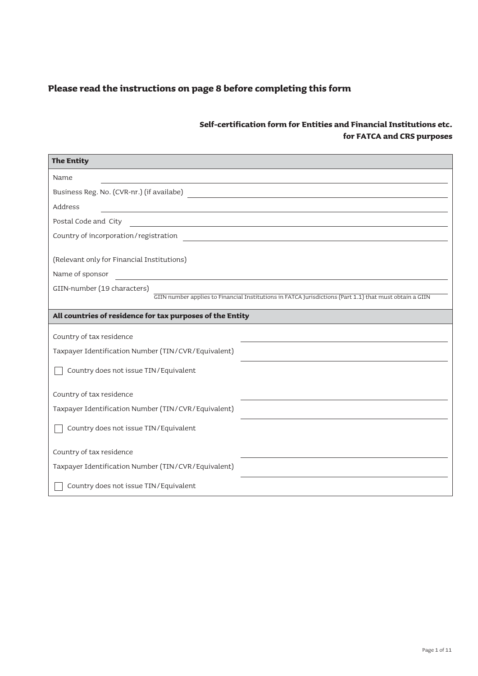| <b>The Entity</b>                                                                                                                                                                                                                                                                                     |
|-------------------------------------------------------------------------------------------------------------------------------------------------------------------------------------------------------------------------------------------------------------------------------------------------------|
| Name                                                                                                                                                                                                                                                                                                  |
| Business Reg. No. (CVR-nr.) (if availabe)<br><u> 1989 - Johann Barbara, martxa alemaniar arg</u>                                                                                                                                                                                                      |
| Address<br><u> 1980 - Johann John Stein, marwolaethau (b. 1980)</u>                                                                                                                                                                                                                                   |
| Postal Code and City                                                                                                                                                                                                                                                                                  |
| Country of incorporation/registration                                                                                                                                                                                                                                                                 |
| (Relevant only for Financial Institutions)<br>Name of sponsor<br><u> 1980 - Jan Salaman, mangang mga kalendar ng mga kalendar ng mga kalendar ng mga kalendar ng mga kalendar ng mga kalendar ng mga kalendar ng mga kalendar ng mga kalendar.  Ng mga kalendar ng mga kalendar ng mga kalendar n</u> |
| GIIN-number (19 characters)                                                                                                                                                                                                                                                                           |
| GIIN number applies to Financial Institutions in FATCA Jurisdictions (Part 1.1) that must obtain a GIIN                                                                                                                                                                                               |
| All countries of residence for tax purposes of the Entity                                                                                                                                                                                                                                             |
| Country of tax residence                                                                                                                                                                                                                                                                              |
| Taxpayer Identification Number (TIN/CVR/Equivalent)                                                                                                                                                                                                                                                   |
| Country does not issue TIN/Equivalent                                                                                                                                                                                                                                                                 |
| Country of tax residence                                                                                                                                                                                                                                                                              |
| Taxpayer Identification Number (TIN/CVR/Equivalent)                                                                                                                                                                                                                                                   |
| Country does not issue TIN/Equivalent                                                                                                                                                                                                                                                                 |
| Country of tax residence                                                                                                                                                                                                                                                                              |
| Taxpayer Identification Number (TIN/CVR/Equivalent)                                                                                                                                                                                                                                                   |
| Country does not issue TIN/Equivalent                                                                                                                                                                                                                                                                 |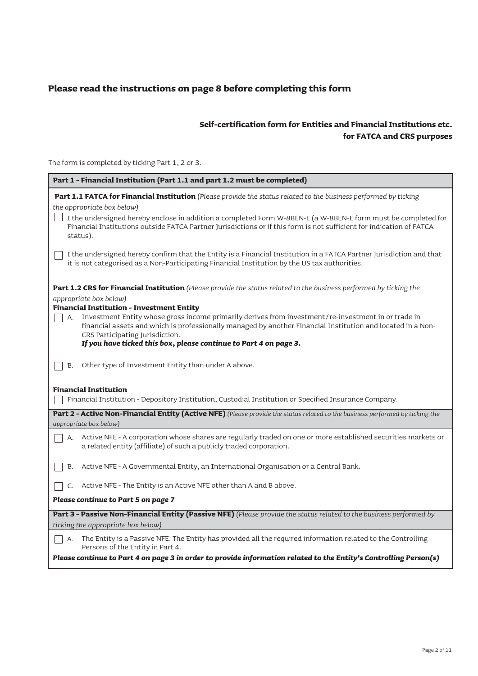# **Self-certification form for Entities and Financial Institutions etc. for FATCA and CRS purposes**

The form is completed by ticking Part 1, 2 or 3.

| Part 1 - Financial Institution (Part 1.1 and part 1.2 must be completed)                                                                                                                                                                                                                                        |
|-----------------------------------------------------------------------------------------------------------------------------------------------------------------------------------------------------------------------------------------------------------------------------------------------------------------|
| Part 1.1 FATCA for Financial Institution (Please provide the status related to the business performed by ticking                                                                                                                                                                                                |
| the appropriate box below)                                                                                                                                                                                                                                                                                      |
| I the undersigned hereby enclose in addition a completed Form W-8BEN-E (a W-8BEN-E form must be completed for<br>Financial Institutions outside FATCA Partner Jurisdictions or if this form is not sufficient for indication of FATCA<br>status).                                                               |
| I the undersigned hereby confirm that the Entity is a Financial Institution in a FATCA Partner Jurisdiction and that<br>it is not categorised as a Non-Participating Financial Institution by the US tax authorities.                                                                                           |
| <b>Part 1.2 CRS for Financial Institution</b> (Please provide the status related to the business performed by ticking the<br>appropriate box below)                                                                                                                                                             |
| <b>Financial Institution - Investment Entity</b><br>Investment Entity whose gross income primarily derives from investment/re-investment in or trade in<br>A.<br>financial assets and which is professionally managed by another Financial Institution and located in a Non-<br>CRS Participating Jurisdiction. |
| If you have ticked this box, please continue to Part 4 on page 3.                                                                                                                                                                                                                                               |
| Other type of Investment Entity than under A above.<br><b>B.</b>                                                                                                                                                                                                                                                |
| <b>Financial Institution</b>                                                                                                                                                                                                                                                                                    |
| Financial Institution - Depository Institution, Custodial Institution or Specified Insurance Company.                                                                                                                                                                                                           |
| Part 2 - Active Non-Financial Entity (Active NFE) (Please provide the status related to the business performed by ticking the                                                                                                                                                                                   |
| appropriate box below)                                                                                                                                                                                                                                                                                          |
| Active NFE - A corporation whose shares are regularly traded on one or more established securities markets or<br>A.<br>a related entity (affiliate) of such a publicly traded corporation.                                                                                                                      |
| Active NFE - A Governmental Entity, an International Organisation or a Central Bank.<br>B.                                                                                                                                                                                                                      |
| Active NFE - The Entity is an Active NFE other than A and B above.<br>C.                                                                                                                                                                                                                                        |
| Please continue to Part 5 on page 7                                                                                                                                                                                                                                                                             |
| Part 3 - Passive Non-Financial Entity (Passive NFE) (Please provide the status related to the business performed by                                                                                                                                                                                             |
| ticking the appropriate box below)                                                                                                                                                                                                                                                                              |
| The Entity is a Passive NFE. The Entity has provided all the required information related to the Controlling<br>А.<br>Persons of the Entity in Part 4.<br>Please continue to Part 4 on page 3 in order to provide information related to the Entity's Controlling Person(s)                                     |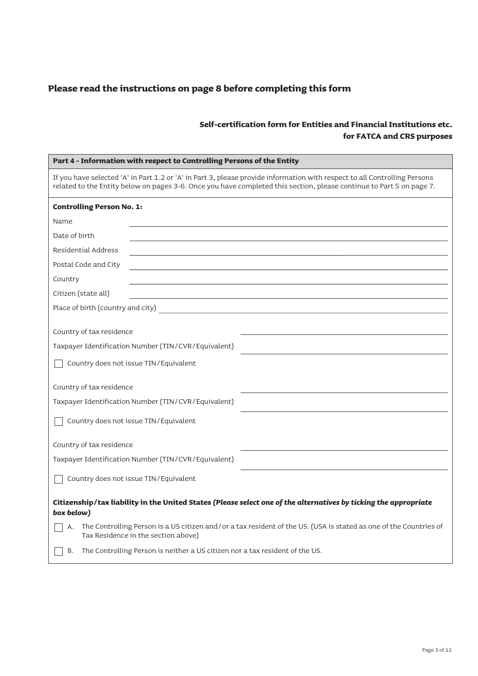| Part 4 - Information with respect to Controlling Persons of the Entity                                                                                                                                                                                                              |
|-------------------------------------------------------------------------------------------------------------------------------------------------------------------------------------------------------------------------------------------------------------------------------------|
| If you have selected 'A' in Part 1.2 or 'A' in Part 3, please provide information with respect to all Controlling Persons<br>related to the Entity below on pages 3-6. Once you have completed this section, please continue to Part 5 on page 7.                                   |
| <b>Controlling Person No. 1:</b>                                                                                                                                                                                                                                                    |
| Name                                                                                                                                                                                                                                                                                |
| Date of birth                                                                                                                                                                                                                                                                       |
| Residential Address                                                                                                                                                                                                                                                                 |
| Postal Code and City                                                                                                                                                                                                                                                                |
| Country                                                                                                                                                                                                                                                                             |
| Citizen (state all)                                                                                                                                                                                                                                                                 |
| Place of birth (country and city) and $\frac{1}{2}$ and $\frac{1}{2}$ and $\frac{1}{2}$ and $\frac{1}{2}$ and $\frac{1}{2}$ and $\frac{1}{2}$ and $\frac{1}{2}$ and $\frac{1}{2}$ and $\frac{1}{2}$ and $\frac{1}{2}$ and $\frac{1}{2}$ and $\frac{1}{2}$ and $\frac{1}{2}$ and $\$ |
| Country of tax residence                                                                                                                                                                                                                                                            |
| Taxpayer Identification Number (TIN/CVR/Equivalent)                                                                                                                                                                                                                                 |
| Country does not issue TIN/Equivalent                                                                                                                                                                                                                                               |
| Country of tax residence                                                                                                                                                                                                                                                            |
| Taxpayer Identification Number (TIN/CVR/Equivalent)                                                                                                                                                                                                                                 |
| Country does not issue TIN/Equivalent                                                                                                                                                                                                                                               |
| Country of tax residence                                                                                                                                                                                                                                                            |
| Taxpayer Identification Number (TIN/CVR/Equivalent)                                                                                                                                                                                                                                 |
| Country does not issue TIN/Equivalent                                                                                                                                                                                                                                               |
| Citizenship/tax liability in the United States (Please select one of the alternatives by ticking the appropriate<br>box below)                                                                                                                                                      |
| The Controlling Person is a US citizen and/or a tax resident of the US. (USA is stated as one of the Countries of<br>А.<br>Tax Residence in the section above)                                                                                                                      |
| The Controlling Person is neither a US citizen nor a tax resident of the US.<br>B.                                                                                                                                                                                                  |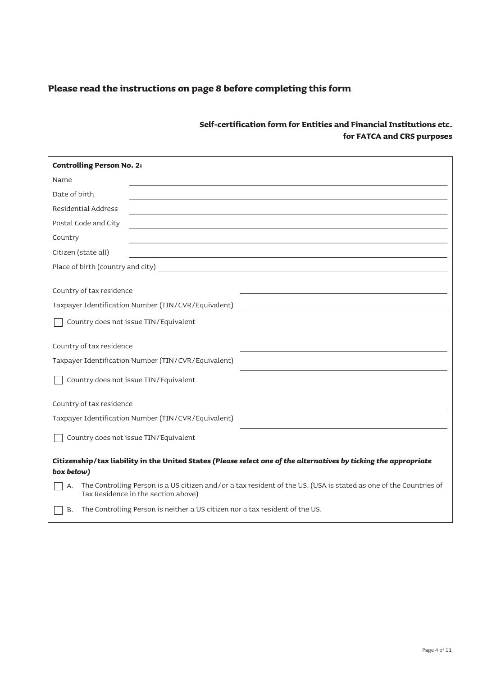| <b>Controlling Person No. 2:</b>                                                                                                                               |
|----------------------------------------------------------------------------------------------------------------------------------------------------------------|
| Name                                                                                                                                                           |
| Date of birth                                                                                                                                                  |
| <b>Residential Address</b>                                                                                                                                     |
| Postal Code and City                                                                                                                                           |
| Country                                                                                                                                                        |
| Citizen (state all)<br><u> 1989 - Johann John Stone, markin film yn y brenin y brenin y brenin y brenin y brenin y brenin y brenin y br</u>                    |
|                                                                                                                                                                |
| Country of tax residence                                                                                                                                       |
| Taxpayer Identification Number (TIN/CVR/Equivalent)                                                                                                            |
| Country does not issue TIN/Equivalent                                                                                                                          |
| Country of tax residence                                                                                                                                       |
| Taxpayer Identification Number (TIN/CVR/Equivalent)                                                                                                            |
| Country does not issue TIN/Equivalent                                                                                                                          |
| Country of tax residence                                                                                                                                       |
| Taxpayer Identification Number (TIN/CVR/Equivalent)                                                                                                            |
| Country does not issue TIN/Equivalent                                                                                                                          |
| Citizenship/tax liability in the United States (Please select one of the alternatives by ticking the appropriate<br>box below)                                 |
| The Controlling Person is a US citizen and/or a tax resident of the US. (USA is stated as one of the Countries of<br>А.<br>Tax Residence in the section above) |
| The Controlling Person is neither a US citizen nor a tax resident of the US.<br>B.                                                                             |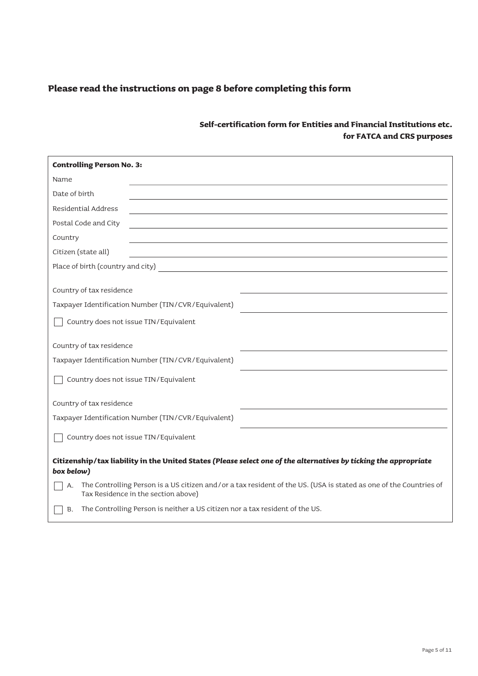| <b>Controlling Person No. 3:</b>                                                                                                                               |
|----------------------------------------------------------------------------------------------------------------------------------------------------------------|
| Name                                                                                                                                                           |
| Date of birth                                                                                                                                                  |
| <b>Residential Address</b>                                                                                                                                     |
| Postal Code and City                                                                                                                                           |
| Country<br>the control of the control of the control of the control of the control of the control of                                                           |
| Citizen (state all)                                                                                                                                            |
|                                                                                                                                                                |
| Country of tax residence                                                                                                                                       |
| Taxpayer Identification Number (TIN/CVR/Equivalent)                                                                                                            |
| Country does not issue TIN/Equivalent                                                                                                                          |
| Country of tax residence                                                                                                                                       |
| Taxpayer Identification Number (TIN/CVR/Equivalent)                                                                                                            |
| Country does not issue TIN/Equivalent                                                                                                                          |
| Country of tax residence                                                                                                                                       |
| Taxpayer Identification Number (TIN/CVR/Equivalent)                                                                                                            |
| Country does not issue TIN/Equivalent                                                                                                                          |
| Citizenship/tax liability in the United States (Please select one of the alternatives by ticking the appropriate<br>box below)                                 |
| The Controlling Person is a US citizen and/or a tax resident of the US. (USA is stated as one of the Countries of<br>А.<br>Tax Residence in the section above) |
| The Controlling Person is neither a US citizen nor a tax resident of the US.<br><b>B.</b>                                                                      |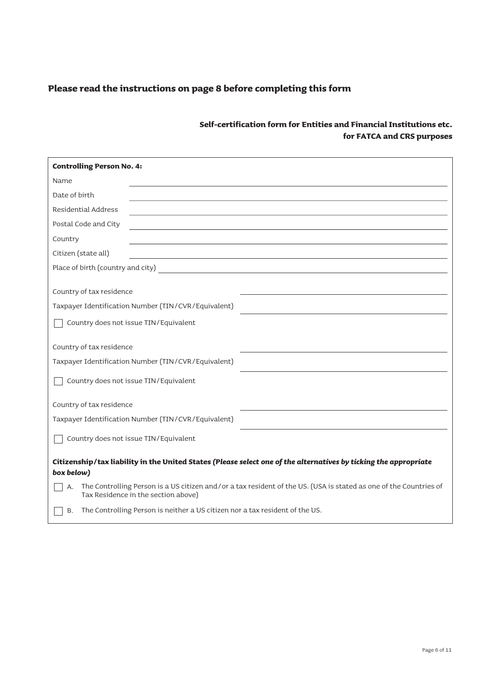| <b>Controlling Person No. 4:</b>                                                                                                                               |
|----------------------------------------------------------------------------------------------------------------------------------------------------------------|
| Name                                                                                                                                                           |
| Date of birth                                                                                                                                                  |
| <b>Residential Address</b><br><u> 1990 - Johann Stein, fransk politiker (d. 1980)</u>                                                                          |
| Postal Code and City                                                                                                                                           |
| Country                                                                                                                                                        |
| Citizen (state all)<br><u> 1989 - Andrea Santa Alemania, amerikana amerikana amerikana amerikana amerikana amerikana amerikana amerikan</u>                    |
| Place of birth (country and city)                                                                                                                              |
| Country of tax residence                                                                                                                                       |
| Taxpayer Identification Number (TIN/CVR/Equivalent)                                                                                                            |
| Country does not issue TIN/Equivalent                                                                                                                          |
| Country of tax residence                                                                                                                                       |
| Taxpayer Identification Number (TIN/CVR/Equivalent)                                                                                                            |
| Country does not issue TIN/Equivalent                                                                                                                          |
| Country of tax residence                                                                                                                                       |
| Taxpayer Identification Number (TIN/CVR/Equivalent)                                                                                                            |
| Country does not issue TIN/Equivalent                                                                                                                          |
| Citizenship/tax liability in the United States (Please select one of the alternatives by ticking the appropriate<br>box below)                                 |
| The Controlling Person is a US citizen and/or a tax resident of the US. (USA is stated as one of the Countries of<br>А.<br>Tax Residence in the section above) |
| The Controlling Person is neither a US citizen nor a tax resident of the US.<br>В.                                                                             |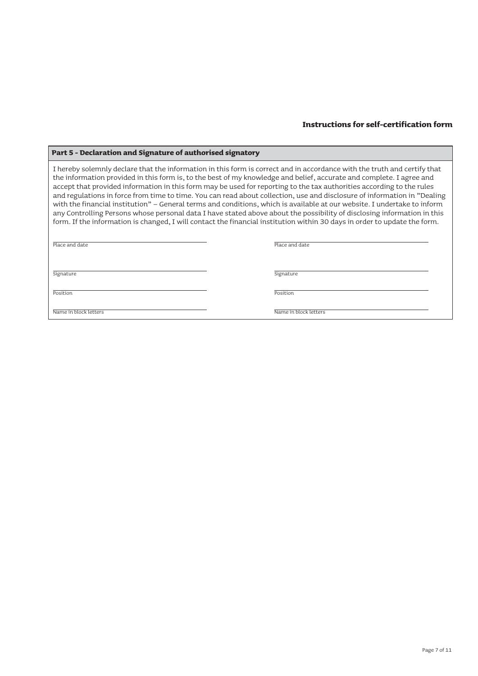#### **Part 5 - Declaration and Signature of authorised signatory**

I hereby solemnly declare that the information in this form is correct and in accordance with the truth and certify that the information provided in this form is, to the best of my knowledge and belief, accurate and complete. I agree and accept that provided information in this form may be used for reporting to the tax authorities according to the rules and regulations in force from time to time. You can read about collection, use and disclosure of information in "Dealing with the financial institution" – General terms and conditions, which is available at our website. I undertake to inform any Controlling Persons whose personal data I have stated above about the possibility of disclosing information in this form. If the information is changed, I will contact the financial institution within 30 days in order to update the form.

Place and date

Place and date

Signature Signature Signature Signature Signature Signature Signature Signature Signature Signature Signature

Position

Position

Name in block letters

Name in block letters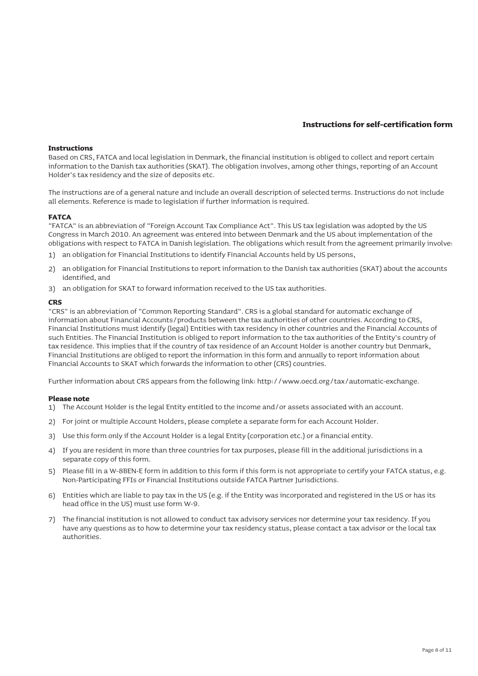#### **Instructions**

Based on CRS, FATCA and local legislation in Denmark, the financial institution is obliged to collect and report certain information to the Danish tax authorities (SKAT). The obligation involves, among other things, reporting of an Account Holder's tax residency and the size of deposits etc.

The instructions are of a general nature and include an overall description of selected terms. Instructions do not include all elements. Reference is made to legislation if further information is required.

#### **FATCA**

"FATCA" is an abbreviation of "Foreign Account Tax Compliance Act". This US tax legislation was adopted by the US Congress in March 2010. An agreement was entered into between Denmark and the US about implementation of the obligations with respect to FATCA in Danish legislation. The obligations which result from the agreement primarily involve:

- 1) an obligation for Financial Institutions to identify Financial Accounts held by US persons,
- 2) an obligation for Financial Institutions to report information to the Danish tax authorities (SKAT) about the accounts identified, and
- 3) an obligation for SKAT to forward information received to the US tax authorities.

#### **CRS**

"CRS" is an abbreviation of "Common Reporting Standard". CRS is a global standard for automatic exchange of information about Financial Accounts/products between the tax authorities of other countries. According to CRS, Financial Institutions must identify (legal) Entities with tax residency in other countries and the Financial Accounts of such Entities. The Financial Institution is obliged to report information to the tax authorities of the Entity's country of tax residence. This implies that if the country of tax residence of an Account Holder is another country but Denmark, Financial Institutions are obliged to report the information in this form and annually to report information about Financial Accounts to SKAT which forwards the information to other (CRS) countries.

Further information about CRS appears from the following link: http://www.oecd.org/tax/automatic-exchange.

#### **Please note**

- The Account Holder is the legal Entity entitled to the income and/or assets associated with an account. 1)
- 2) For joint or multiple Account Holders, please complete a separate form for each Account Holder.
- 3) Use this form only if the Account Holder is a legal Entity (corporation etc.) or a financial entity.
- 4) If you are resident in more than three countries for tax purposes, please fill in the additional jurisdictions in a separate copy of this form.
- 5) Please fill in a W-8BEN-E form in addition to this form if this form is not appropriate to certify your FATCA status, e.g. Non-Participating FFIs or Financial Institutions outside FATCA Partner Jurisdictions.
- 6) Entities which are liable to pay tax in the US (e.g. if the Entity was incorporated and registered in the US or has its head office in the US) must use form W-9.
- 7) The financial institution is not allowed to conduct tax advisory services nor determine your tax residency. If you have any questions as to how to determine your tax residency status, please contact a tax advisor or the local tax authorities.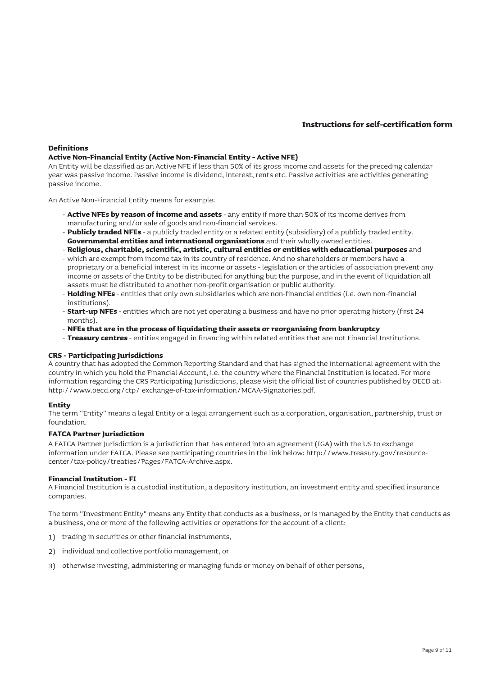#### **Definitions**

#### **Active Non-Financial Entity (Active Non-Financial Entity - Active NFE)**

An Entity will be classified as an Active NFE if less than 50% of its gross income and assets for the preceding calendar year was passive income. Passive income is dividend, interest, rents etc. Passive activities are activities generating passive income.

An Active Non-Financial Entity means for example:

- **Active NFEs by reason of income and assets** any entity if more than 50% of its income derives from manufacturing and/or sale of goods and non-financial services.
- **Publicly traded NFEs** a publicly traded entity or a related entity (subsidiary) of a publicly traded entity. **Governmental entities and international organisations** and their wholly owned entities.
- 
- **Religious, charitable, scientific, artistic, cultural entities or entities with educational purposes** and which are exempt from income tax in its country of residence. And no shareholders or members have a proprietary or a beneficial interest in its income or assets - legislation or the articles of association prevent any income or assets of the Entity to be distributed for anything but the purpose, and in the event of liquidation all assets must be distributed to another non-profit organisation or public authority.
- **Holding NFEs** entities that only own subsidiaries which are non-financial entities (i.e. own non-financial institutions).
- **Start-up NFEs** entities which are not yet operating a business and have no prior operating history (first 24 months).
- **NFEs that are in the process of liquidating their assets or reorganising from bankruptcy**  -
- **Treasury centres** entities engaged in financing within related entities that are not Financial Institutions. -

#### **CRS - Participating Jurisdictions**

A country that has adopted the Common Reporting Standard and that has signed the international agreement with the country in which you hold the Financial Account, i.e. the country where the Financial Institution is located. For more information regarding the CRS Participating Jurisdictions, please visit the official list of countries published by OECD at: http://www.oecd.org/ctp/ exchange-of-tax-information/MCAA-Signatories.pdf.

#### **Entity**

The term "Entity" means a legal Entity or a legal arrangement such as a corporation, organisation, partnership, trust or foundation.

#### **FATCA Partner Jurisdiction**

A FATCA Partner Jurisdiction is a jurisdiction that has entered into an agreement (IGA) with the US to exchange information under FATCA. Please see participating countries in the link below: http://www.treasury.gov/resourcecenter/tax-policy/treaties/Pages/FATCA-Archive.aspx.

#### **Financial Institution - FI**

A Financial Institution is a custodial institution, a depository institution, an investment entity and specified insurance companies.

The term "Investment Entity" means any Entity that conducts as a business, or is managed by the Entity that conducts as a business, one or more of the following activities or operations for the account of a client:

- 1) trading in securities or other financial instruments,
- 2) individual and collective portfolio management, or
- 3) otherwise investing, administering or managing funds or money on behalf of other persons,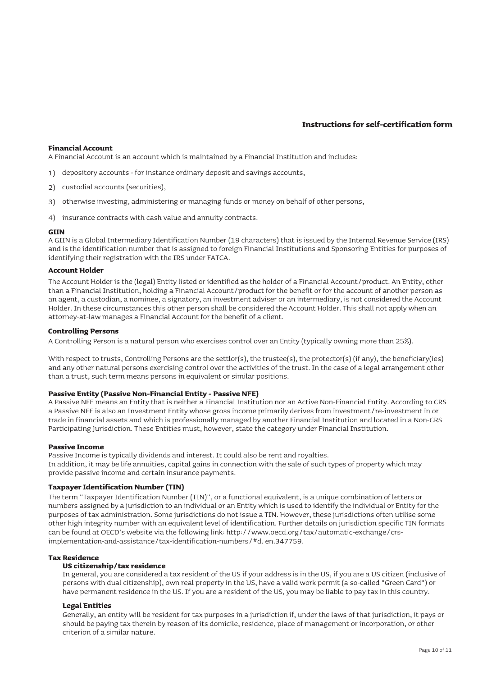#### **Financial Account**

A Financial Account is an account which is maintained by a Financial Institution and includes:

- 1) depository accounts for instance ordinary deposit and savings accounts,
- 2) custodial accounts (securities),
- 3) otherwise investing, administering or managing funds or money on behalf of other persons,
- 4) insurance contracts with cash value and annuity contracts.

#### **GIIN**

A GIIN is a Global Intermediary Identification Number (19 characters) that is issued by the Internal Revenue Service (IRS) and is the identification number that is assigned to foreign Financial Institutions and Sponsoring Entities for purposes of identifying their registration with the IRS under FATCA.

#### **Account Holder**

The Account Holder is the (legal) Entity listed or identified as the holder of a Financial Account/product. An Entity, other than a Financial Institution, holding a Financial Account/product for the benefit or for the account of another person as an agent, a custodian, a nominee, a signatory, an investment adviser or an intermediary, is not considered the Account Holder. In these circumstances this other person shall be considered the Account Holder. This shall not apply when an attorney-at-law manages a Financial Account for the benefit of a client.

#### **Controlling Persons**

A Controlling Person is a natural person who exercises control over an Entity (typically owning more than 25%).

With respect to trusts, Controlling Persons are the settlor(s), the trustee(s), the protector(s) (if any), the beneficiary(ies) and any other natural persons exercising control over the activities of the trust. In the case of a legal arrangement other than a trust, such term means persons in equivalent or similar positions.

#### **Passive Entity (Passive Non-Financial Entity - Passive NFE)**

A Passive NFE means an Entity that is neither a Financial Institution nor an Active Non-Financial Entity. According to CRS a Passive NFE is also an Investment Entity whose gross income primarily derives from investment/re-investment in or trade in financial assets and which is professionally managed by another Financial Institution and located in a Non-CRS Participating Jurisdiction. These Entities must, however, state the category under Financial Institution.

#### **Passive Income**

Passive Income is typically dividends and interest. It could also be rent and royalties. In addition, it may be life annuities, capital gains in connection with the sale of such types of property which may provide passive income and certain insurance payments.

### **Taxpayer Identification Number (TIN)**

The term "Taxpayer Identification Number (TIN)", or a functional equivalent, is a unique combination of letters or numbers assigned by a jurisdiction to an individual or an Entity which is used to identify the individual or Entity for the purposes of tax administration. Some jurisdictions do not issue a TIN. However, these jurisdictions often utilise some other high integrity number with an equivalent level of identification. Further details on jurisdiction specific TIN formats can be found at OECD's website via the following link: http://www.oecd.org/tax/automatic-exchange/crsimplementation-and-assistance/tax-identification-numbers/#d. en.347759.

#### **Tax Residence**

## **US citizenship/tax residence**

In general, you are considered a tax resident of the US if your address is in the US, if you are a US citizen (inclusive of persons with dual citizenship), own real property in the US, have a valid work permit (a so-called "Green Card") or have permanent residence in the US. If you are a resident of the US, you may be liable to pay tax in this country.

#### **Legal Entities**

Generally, an entity will be resident for tax purposes in a jurisdiction if, under the laws of that jurisdiction, it pays or should be paying tax therein by reason of its domicile, residence, place of management or incorporation, or other criterion of a similar nature.